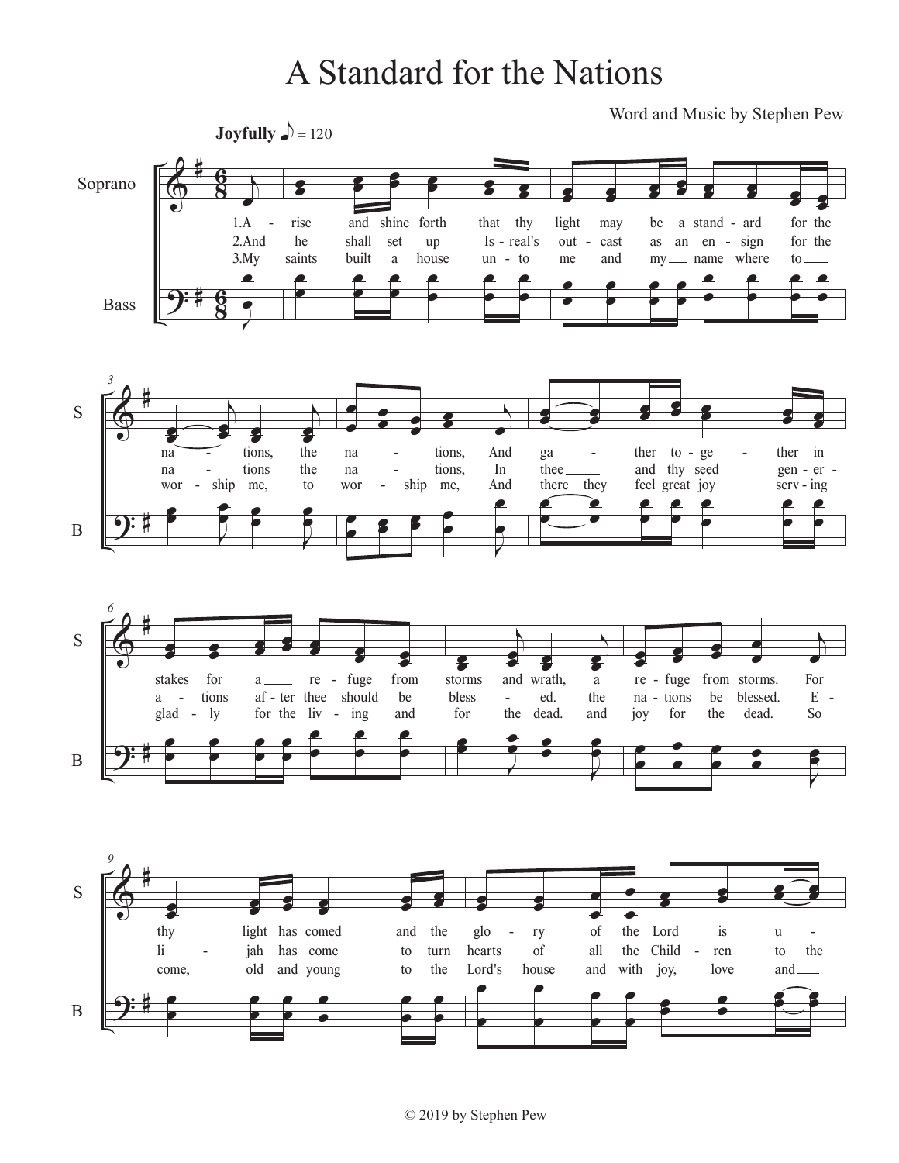## A Standard for the Nations

Word and Music by Stephen Pew